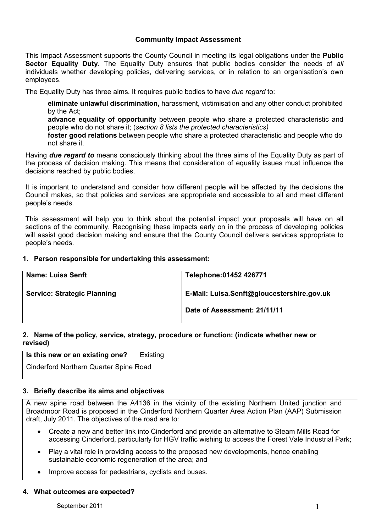### Community Impact Assessment

This Impact Assessment supports the County Council in meeting its legal obligations under the **Public** Sector Equality Duty. The Equality Duty ensures that public bodies consider the needs of all individuals whether developing policies, delivering services, or in relation to an organisation's own employees.

The Equality Duty has three aims. It requires public bodies to have due regard to:

eliminate unlawful discrimination, harassment, victimisation and any other conduct prohibited by the Act;

advance equality of opportunity between people who share a protected characteristic and people who do not share it; (section 8 lists the protected characteristics)

foster good relations between people who share a protected characteristic and people who do not share it.

Having due regard to means consciously thinking about the three aims of the Equality Duty as part of the process of decision making. This means that consideration of equality issues must influence the decisions reached by public bodies.

It is important to understand and consider how different people will be affected by the decisions the Council makes, so that policies and services are appropriate and accessible to all and meet different people's needs.

This assessment will help you to think about the potential impact your proposals will have on all sections of the community. Recognising these impacts early on in the process of developing policies will assist good decision making and ensure that the County Council delivers services appropriate to people's needs.

### 1. Person responsible for undertaking this assessment:

| Telephone: 01452 426771                    |  |  |
|--------------------------------------------|--|--|
| E-Mail: Luisa.Senft@gloucestershire.gov.uk |  |  |
| Date of Assessment: 21/11/11               |  |  |
|                                            |  |  |

## 2. Name of the policy, service, strategy, procedure or function: (indicate whether new or revised)

|  | Is this new or an existing one? |  |  | Existing |  |
|--|---------------------------------|--|--|----------|--|
|  |                                 |  |  |          |  |

Cinderford Northern Quarter Spine Road

### 3. Briefly describe its aims and objectives

A new spine road between the A4136 in the vicinity of the existing Northern United junction and Broadmoor Road is proposed in the Cinderford Northern Quarter Area Action Plan (AAP) Submission draft, July 2011. The objectives of the road are to:

- Create a new and better link into Cinderford and provide an alternative to Steam Mills Road for accessing Cinderford, particularly for HGV traffic wishing to access the Forest Vale Industrial Park;
- Play a vital role in providing access to the proposed new developments, hence enabling sustainable economic regeneration of the area; and
- Improve access for pedestrians, cyclists and buses.

#### 4. What outcomes are expected?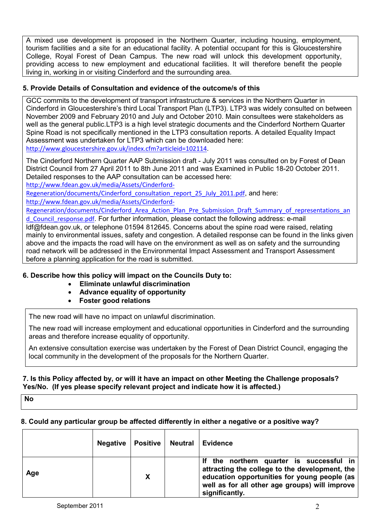A mixed use development is proposed in the Northern Quarter, including housing, employment, tourism facilities and a site for an educational facility. A potential occupant for this is Gloucestershire College, Royal Forest of Dean Campus. The new road will unlock this development opportunity, providing access to new employment and educational facilities. It will therefore benefit the people living in, working in or visiting Cinderford and the surrounding area.

## 5. Provide Details of Consultation and evidence of the outcome/s of this

GCC commits to the development of transport infrastructure & services in the Northern Quarter in Cinderford in Gloucestershire's third Local Transport Plan (LTP3). LTP3 was widely consulted on between November 2009 and February 2010 and July and October 2010. Main consultees were stakeholders as well as the general public.LTP3 is a high level strategic documents and the Cinderford Northern Quarter Spine Road is not specifically mentioned in the LTP3 consultation reports. A detailed Equality Impact Assessment was undertaken for LTP3 which can be downloaded here: http://www.gloucestershire.gov.uk/index.cfm?articleid=102114.

The Cinderford Northern Quarter AAP Submission draft - July 2011 was consulted on by Forest of Dean District Council from 27 April 2011 to 8th June 2011 and was Examined in Public 18-20 October 2011. Detailed responses to the AAP consultation can be accessed here:

http://www.fdean.gov.uk/media/Assets/Cinderford-

Regeneration/documents/Cinderford\_consultation\_report\_25\_July\_2011.pdf, and here: http://www.fdean.gov.uk/media/Assets/Cinderford-

Regeneration/documents/Cinderford Area Action Plan Pre Submission Draft Summary of representations an d Council response.pdf. For further information, please contact the following address: e-mail

ldf@fdean.gov.uk, or telephone 01594 812645. Concerns about the spine road were raised, relating mainly to environmental issues, safety and congestion. A detailed response can be found in the links given above and the impacts the road will have on the environment as well as on safety and the surrounding road network will be addressed in the Environmental Impact Assessment and Transport Assessment before a planning application for the road is submitted.

# 6. Describe how this policy will impact on the Councils Duty to:

- Eliminate unlawful discrimination
- Advance equality of opportunity
- Foster good relations

The new road will have no impact on unlawful discrimination.

The new road will increase employment and educational opportunities in Cinderford and the surrounding areas and therefore increase equality of opportunity.

An extensive consultation exercise was undertaken by the Forest of Dean District Council, engaging the local community in the development of the proposals for the Northern Quarter.

### 7. Is this Policy affected by, or will it have an impact on other Meeting the Challenge proposals? Yes/No. (If yes please specify relevant project and indicate how it is affected.)

No

# 8. Could any particular group be affected differently in either a negative or a positive way?

|     | <b>Negative</b> | <b>Positive</b> | <b>Neutral</b> | <b>Evidence</b>                                                                                                                                                                                             |
|-----|-----------------|-----------------|----------------|-------------------------------------------------------------------------------------------------------------------------------------------------------------------------------------------------------------|
| Age |                 | X               |                | the northern quarter is successful in<br>attracting the college to the development, the<br>education opportunities for young people (as<br>well as for all other age groups) will improve<br>significantly. |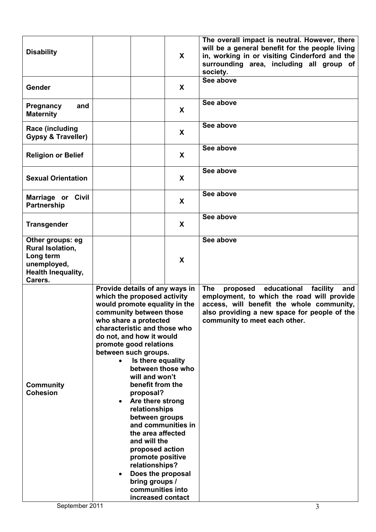| <b>Disability</b>                                                                                               |                                                                                                                                                                                         | $\mathsf{X}$                                                                                                                                                                                                                                                                                                                                                                                                                                            | The overall impact is neutral. However, there<br>will be a general benefit for the people living<br>in, working in or visiting Cinderford and the<br>surrounding area, including all group of<br>society.                                              |
|-----------------------------------------------------------------------------------------------------------------|-----------------------------------------------------------------------------------------------------------------------------------------------------------------------------------------|---------------------------------------------------------------------------------------------------------------------------------------------------------------------------------------------------------------------------------------------------------------------------------------------------------------------------------------------------------------------------------------------------------------------------------------------------------|--------------------------------------------------------------------------------------------------------------------------------------------------------------------------------------------------------------------------------------------------------|
| Gender                                                                                                          |                                                                                                                                                                                         | X                                                                                                                                                                                                                                                                                                                                                                                                                                                       | See above                                                                                                                                                                                                                                              |
| Pregnancy<br>and<br><b>Maternity</b>                                                                            |                                                                                                                                                                                         | X                                                                                                                                                                                                                                                                                                                                                                                                                                                       | See above                                                                                                                                                                                                                                              |
| Race (including<br><b>Gypsy &amp; Traveller)</b>                                                                |                                                                                                                                                                                         | X                                                                                                                                                                                                                                                                                                                                                                                                                                                       | See above                                                                                                                                                                                                                                              |
| <b>Religion or Belief</b>                                                                                       |                                                                                                                                                                                         | X                                                                                                                                                                                                                                                                                                                                                                                                                                                       | See above                                                                                                                                                                                                                                              |
| <b>Sexual Orientation</b>                                                                                       |                                                                                                                                                                                         | X                                                                                                                                                                                                                                                                                                                                                                                                                                                       | See above                                                                                                                                                                                                                                              |
| Marriage or Civil<br><b>Partnership</b>                                                                         |                                                                                                                                                                                         | X                                                                                                                                                                                                                                                                                                                                                                                                                                                       | See above                                                                                                                                                                                                                                              |
| <b>Transgender</b>                                                                                              |                                                                                                                                                                                         | X                                                                                                                                                                                                                                                                                                                                                                                                                                                       | See above                                                                                                                                                                                                                                              |
| Other groups: eg<br><b>Rural Isolation,</b><br>Long term<br>unemployed,<br><b>Health Inequality,</b><br>Carers. |                                                                                                                                                                                         | X                                                                                                                                                                                                                                                                                                                                                                                                                                                       | See above                                                                                                                                                                                                                                              |
| <b>Community</b><br><b>Cohesion</b><br>September 2011                                                           | which the proposed activity<br>community between those<br>who share a protected<br>do not, and how it would<br>promote good relations<br>between such groups.<br>$\bullet$<br>$\bullet$ | Provide details of any ways in<br>would promote equality in the<br>characteristic and those who<br>Is there equality<br>between those who<br>will and won't<br>benefit from the<br>proposal?<br>Are there strong<br>relationships<br>between groups<br>and communities in<br>the area affected<br>and will the<br>proposed action<br>promote positive<br>relationships?<br>Does the proposal<br>bring groups /<br>communities into<br>increased contact | educational<br><b>The</b><br>facility<br>proposed<br>and<br>employment, to which the road will provide<br>access, will benefit the whole community,<br>also providing a new space for people of the<br>community to meet each other.<br>$\overline{3}$ |